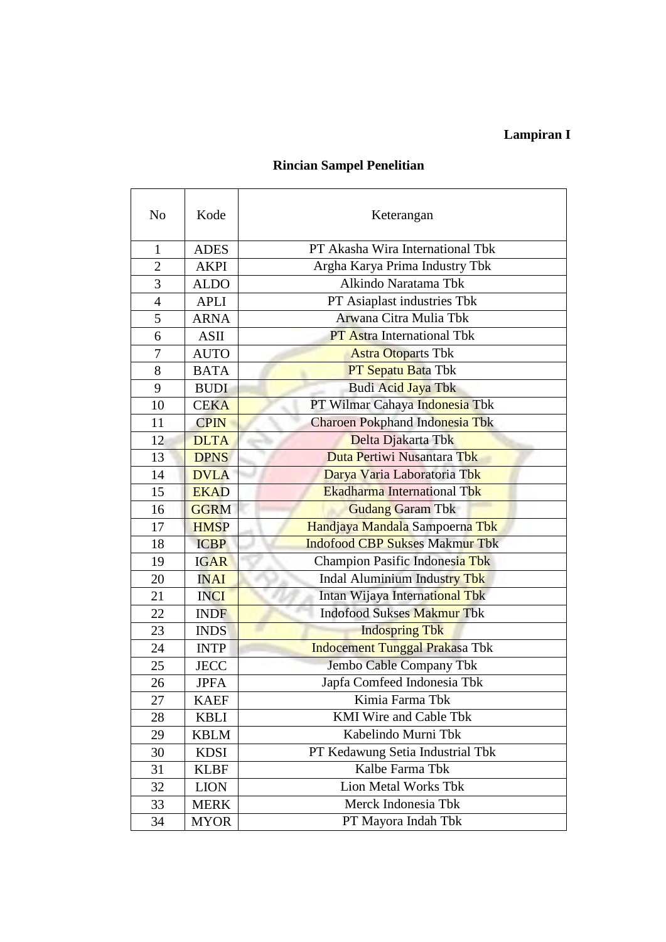# **Lampiran I**

### **Rincian Sampel Penelitian**

| No             | Kode        | Keterangan                            |  |  |  |  |
|----------------|-------------|---------------------------------------|--|--|--|--|
| $\mathbf{1}$   | <b>ADES</b> | PT Akasha Wira International Tbk      |  |  |  |  |
| $\overline{2}$ | <b>AKPI</b> | Argha Karya Prima Industry Tbk        |  |  |  |  |
| 3              | <b>ALDO</b> | Alkindo Naratama Tbk                  |  |  |  |  |
| 4              | <b>APLI</b> | PT Asiaplast industries Tbk           |  |  |  |  |
| 5              | <b>ARNA</b> | Arwana Citra Mulia Tbk                |  |  |  |  |
| 6              | ASII        | <b>PT</b> Astra International Tbk     |  |  |  |  |
| 7              | <b>AUTO</b> | <b>Astra Otoparts Tbk</b>             |  |  |  |  |
| 8              | <b>BATA</b> | PT Sepatu Bata Tbk                    |  |  |  |  |
| 9              | <b>BUDI</b> | Budi Acid Jaya Tbk                    |  |  |  |  |
| 10             | <b>CEKA</b> | PT Wilmar Cahaya Indonesia Tbk        |  |  |  |  |
| 11             | <b>CPIN</b> | Charoen Pokphand Indonesia Tbk        |  |  |  |  |
| 12             | <b>DLTA</b> | Delta Djakarta Tbk                    |  |  |  |  |
| 13             | <b>DPNS</b> | Duta Pertiwi Nusantara Tbk            |  |  |  |  |
| 14             | <b>DVLA</b> | Darya Varia Laboratoria Tbk           |  |  |  |  |
| 15             | <b>EKAD</b> | <b>Ekadharma International Tbk</b>    |  |  |  |  |
| 16             | <b>GGRM</b> | <b>Gudang Garam Tbk</b>               |  |  |  |  |
| 17             | <b>HMSP</b> | Handjaya Mandala Sampoerna Tbk        |  |  |  |  |
| 18             | <b>ICBP</b> | <b>Indofood CBP Sukses Makmur Tbk</b> |  |  |  |  |
| 19             | <b>IGAR</b> | Champion Pasific Indonesia Tbk        |  |  |  |  |
| 20             | <b>INAI</b> | Indal Aluminium Industry Tbk          |  |  |  |  |
| 21             | <b>INCI</b> | Intan Wijaya International Tbk        |  |  |  |  |
| 22             | <b>INDF</b> | <b>Indofood Sukses Makmur Tbk</b>     |  |  |  |  |
| 23             | <b>INDS</b> | <b>Indospring Tbk</b>                 |  |  |  |  |
| 24             | <b>INTP</b> | <b>Indocement Tunggal Prakasa Tbk</b> |  |  |  |  |
| 25             | <b>JECC</b> | Jembo Cable Company Tbk               |  |  |  |  |
| 26             | <b>JPFA</b> | Japfa Comfeed Indonesia Tbk           |  |  |  |  |
| 27             | <b>KAEF</b> | Kimia Farma Tbk                       |  |  |  |  |
| 28             | <b>KBLI</b> | <b>KMI</b> Wire and Cable Tbk         |  |  |  |  |
| 29             | <b>KBLM</b> | Kabelindo Murni Tbk                   |  |  |  |  |
| 30             | <b>KDSI</b> | PT Kedawung Setia Industrial Tbk      |  |  |  |  |
| 31             | <b>KLBF</b> | Kalbe Farma Tbk                       |  |  |  |  |
| 32             | <b>LION</b> | Lion Metal Works Tbk                  |  |  |  |  |
| 33             | <b>MERK</b> | Merck Indonesia Tbk                   |  |  |  |  |
| 34             | <b>MYOR</b> | PT Mayora Indah Tbk                   |  |  |  |  |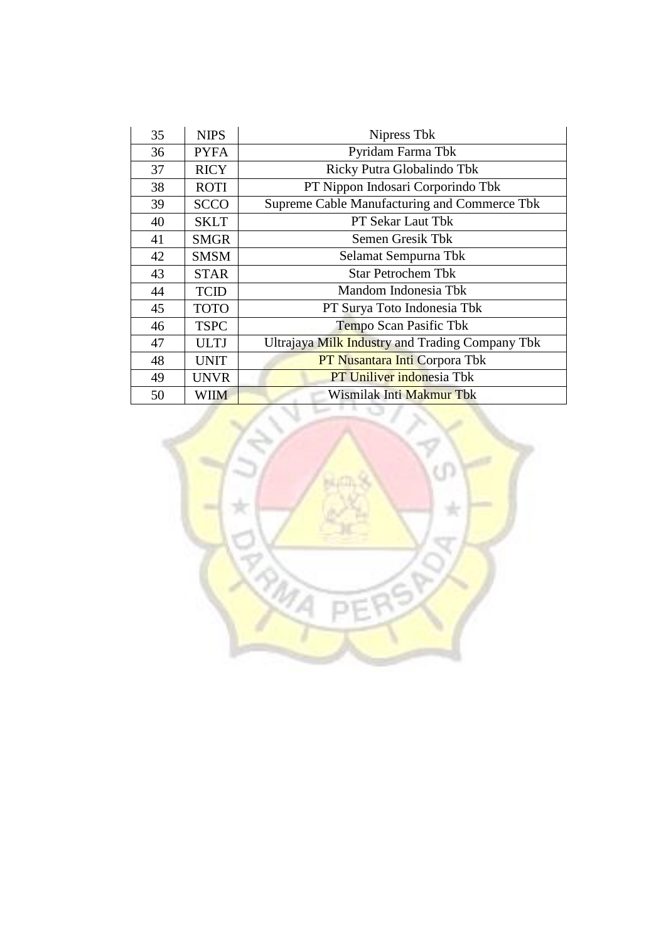| 35 | <b>NIPS</b> | Nipress Tbk                                     |  |  |  |  |
|----|-------------|-------------------------------------------------|--|--|--|--|
| 36 | <b>PYFA</b> | Pyridam Farma Tbk                               |  |  |  |  |
| 37 | <b>RICY</b> | Ricky Putra Globalindo Tbk                      |  |  |  |  |
| 38 | <b>ROTI</b> | PT Nippon Indosari Corporindo Tbk               |  |  |  |  |
| 39 | <b>SCCO</b> | Supreme Cable Manufacturing and Commerce Tbk    |  |  |  |  |
| 40 | <b>SKLT</b> | <b>PT Sekar Laut Tbk</b>                        |  |  |  |  |
| 41 | <b>SMGR</b> | Semen Gresik Tbk                                |  |  |  |  |
| 42 | <b>SMSM</b> | Selamat Sempurna Tbk                            |  |  |  |  |
| 43 | <b>STAR</b> | <b>Star Petrochem Tbk</b>                       |  |  |  |  |
| 44 | <b>TCID</b> | Mandom Indonesia Tbk                            |  |  |  |  |
| 45 | <b>TOTO</b> | PT Surya Toto Indonesia Tbk                     |  |  |  |  |
| 46 | <b>TSPC</b> | Tempo Scan Pasific Tbk                          |  |  |  |  |
| 47 | <b>ULTJ</b> | Ultrajaya Milk Industry and Trading Company Tbk |  |  |  |  |
| 48 | <b>UNIT</b> | <b>PT Nusantara Inti Corpora Tbk</b>            |  |  |  |  |
| 49 | <b>UNVR</b> | <b>PT Uniliver indonesia Tbk</b>                |  |  |  |  |
| 50 | <b>WIIM</b> | Wismilak Inti Makmur Tbk                        |  |  |  |  |

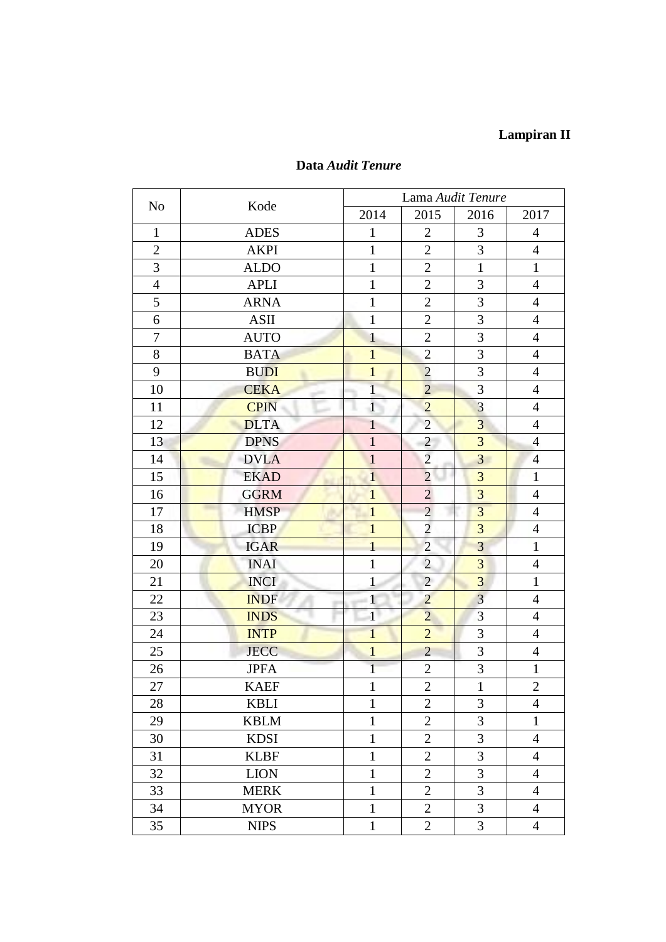## **Lampiran II**

| N <sub>0</sub> | Kode        | Lama Audit Tenure |                |                |                |  |  |
|----------------|-------------|-------------------|----------------|----------------|----------------|--|--|
|                |             | 2014              | 2015           | 2016           | 2017           |  |  |
| $\mathbf{1}$   | <b>ADES</b> | 1                 | $\overline{2}$ | 3              | 4              |  |  |
| $\overline{2}$ | <b>AKPI</b> | $\mathbf{1}$      | $\overline{2}$ | 3              | $\overline{4}$ |  |  |
| $\overline{3}$ | <b>ALDO</b> | $\mathbf{1}$      | $\overline{2}$ | $\mathbf{1}$   | $\mathbf{1}$   |  |  |
| $\overline{4}$ | <b>APLI</b> | $\mathbf{1}$      | $\overline{2}$ | 3              | $\overline{4}$ |  |  |
| 5              | <b>ARNA</b> | $\mathbf{1}$      | $\overline{2}$ | 3              | $\overline{4}$ |  |  |
| 6              | <b>ASII</b> | $\mathbf{1}$      | $\overline{2}$ | 3              | $\overline{4}$ |  |  |
| $\overline{7}$ | <b>AUTO</b> | $\mathbf{1}$      | $\overline{2}$ | 3              | $\overline{4}$ |  |  |
| 8              | <b>BATA</b> | $\overline{1}$    | $\overline{2}$ | 3              | $\overline{4}$ |  |  |
| 9              | <b>BUDI</b> | $\mathbf{1}$      | $\overline{2}$ | 3              | $\overline{4}$ |  |  |
| 10             | <b>CEKA</b> | $\overline{1}$    | $\overline{2}$ | 3              | $\overline{4}$ |  |  |
| 11             | <b>CPIN</b> | $\mathbf{1}$      | $\overline{2}$ | 3              | $\overline{4}$ |  |  |
| 12             | <b>DLTA</b> | $\mathbf{1}$      | $\overline{2}$ | $\overline{3}$ | $\overline{4}$ |  |  |
| 13             | <b>DPNS</b> | $\mathbf{1}$      | $\overline{c}$ | 3              | $\overline{4}$ |  |  |
| 14             | <b>DVLA</b> | $\mathbf{1}$      | $\overline{2}$ | $\overline{3}$ | $\overline{4}$ |  |  |
| 15             | <b>EKAD</b> | $\mathbf{1}$      | $\overline{2}$ | 3              | $\mathbf{1}$   |  |  |
| 16             | <b>GGRM</b> | $\mathbf{1}$      | $\overline{2}$ | 3              | $\overline{4}$ |  |  |
| 17             | <b>HMSP</b> | $\overline{1}$    | $\overline{2}$ | 3              | $\overline{4}$ |  |  |
| 18             | <b>ICBP</b> | $\overline{1}$    | $\overline{2}$ | 3              | $\overline{4}$ |  |  |
| 19             | <b>IGAR</b> | $\overline{1}$    | $\overline{c}$ | $\overline{3}$ | $\mathbf{1}$   |  |  |
| 20             | <b>INAI</b> | $\mathbf{1}$      | $\overline{2}$ | 3              | $\overline{4}$ |  |  |
| 21             | <b>INCI</b> | $\mathbf{1}$      | $\overline{2}$ | $\overline{3}$ | $\mathbf{1}$   |  |  |
| 22             | <b>INDF</b> | $\mathbf{1}$      | $\overline{2}$ | $\overline{3}$ | $\overline{4}$ |  |  |
| 23             | <b>INDS</b> | $\mathbf{1}$      | $\overline{2}$ | 3              | $\overline{4}$ |  |  |
| 24             | <b>INTP</b> | $\mathbf{1}$      | $\overline{c}$ | 3              | $\overline{4}$ |  |  |
| 25             | <b>JECC</b> | $\mathbf{1}$      | $\overline{2}$ | 3              | $\overline{4}$ |  |  |
| 26             | <b>JPFA</b> | $\mathbf{1}$      | $\mathbf{2}$   | 3              | $\mathbf{1}$   |  |  |
| 27             | <b>KAEF</b> | $\mathbf{1}$      | $\overline{2}$ | $\mathbf{1}$   | $\overline{2}$ |  |  |
| 28             | <b>KBLI</b> | $\mathbf{1}$      | $\overline{2}$ | 3              | 4              |  |  |
| 29             | <b>KBLM</b> | $\mathbf{1}$      | $\overline{2}$ | 3              | $\mathbf{1}$   |  |  |
| 30             | <b>KDSI</b> | $\mathbf{1}$      | $\overline{2}$ | 3              | $\overline{4}$ |  |  |
| 31             | <b>KLBF</b> | $\mathbf{1}$      | $\overline{2}$ | 3              | $\overline{4}$ |  |  |
| 32             | <b>LION</b> | $\mathbf{1}$      | $\overline{2}$ | 3              | $\overline{4}$ |  |  |
| 33             | <b>MERK</b> | $\mathbf{1}$      | $\overline{2}$ | 3              | $\overline{4}$ |  |  |
| 34             | <b>MYOR</b> | $\mathbf{1}$      | $\overline{2}$ | 3              | $\overline{4}$ |  |  |
| 35             | <b>NIPS</b> | $\mathbf{1}$      | $\overline{2}$ | 3              | $\overline{4}$ |  |  |

## **Data** *Audit Tenure*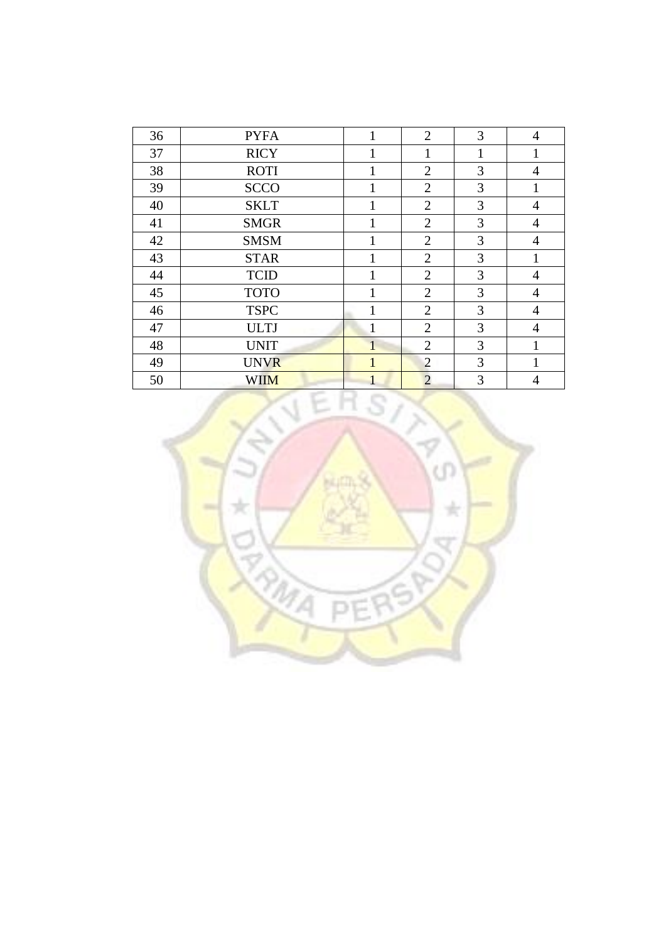| 36 | <b>PYFA</b> | 1 | $\overline{2}$ | 3 | $\overline{4}$ |
|----|-------------|---|----------------|---|----------------|
| 37 | <b>RICY</b> |   |                | 1 | 1              |
| 38 | <b>ROTI</b> | 1 | $\overline{2}$ | 3 | 4              |
| 39 | <b>SCCO</b> | 1 | $\overline{2}$ | 3 |                |
| 40 | <b>SKLT</b> |   | $\overline{2}$ | 3 | 4              |
| 41 | <b>SMGR</b> |   | $\overline{2}$ | 3 | $\overline{4}$ |
| 42 | <b>SMSM</b> |   | $\overline{2}$ | 3 | 4              |
| 43 | <b>STAR</b> |   | $\overline{2}$ | 3 |                |
| 44 | <b>TCID</b> |   | $\overline{2}$ | 3 | $\overline{4}$ |
| 45 | <b>TOTO</b> |   | $\overline{2}$ | 3 | $\overline{4}$ |
| 46 | <b>TSPC</b> | 1 | $\overline{2}$ | 3 | $\overline{4}$ |
| 47 | <b>ULTJ</b> | 1 | $\overline{2}$ | 3 | $\overline{4}$ |
| 48 | <b>UNIT</b> |   | $\overline{2}$ | 3 | 1              |
| 49 | <b>UNVR</b> |   | $\overline{2}$ | 3 |                |
| 50 | <b>WIIM</b> |   | $\overline{2}$ | 3 | $\overline{4}$ |

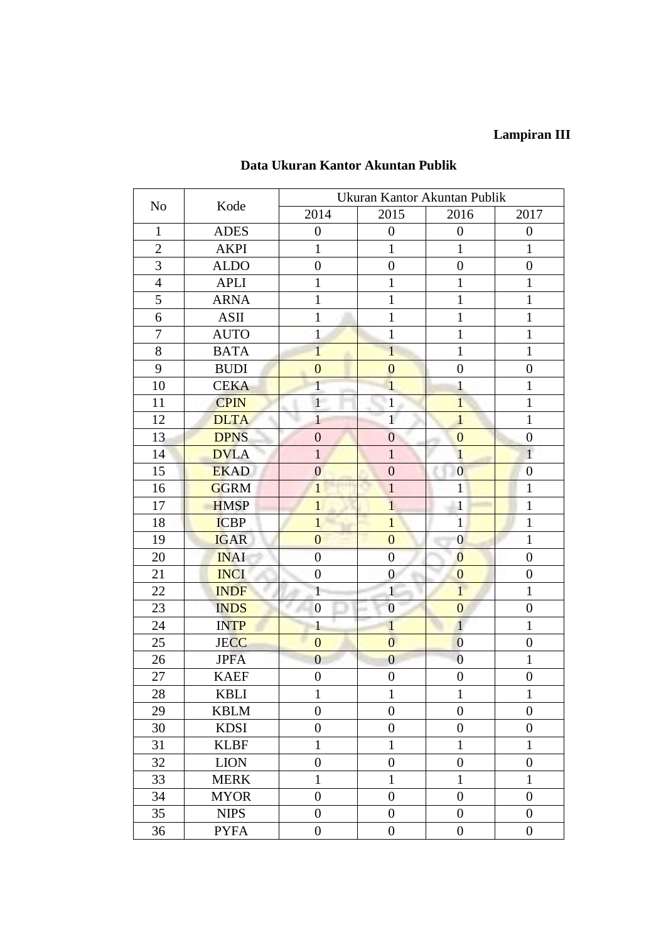# **Lampiran III**

|                  |             | Ukuran Kantor Akuntan Publik |                  |                  |                  |  |
|------------------|-------------|------------------------------|------------------|------------------|------------------|--|
| N <sub>o</sub>   | Kode        | 2014                         | 2015             | 2016             | 2017             |  |
| $\mathbf{1}$     | <b>ADES</b> | $\boldsymbol{0}$             | $\overline{0}$   | $\boldsymbol{0}$ | $\boldsymbol{0}$ |  |
| $\overline{2}$   | <b>AKPI</b> | $\mathbf{1}$                 | $\mathbf{1}$     | $\mathbf{1}$     | 1                |  |
| 3                | <b>ALDO</b> | $\boldsymbol{0}$             | $\boldsymbol{0}$ | $\boldsymbol{0}$ | $\boldsymbol{0}$ |  |
| $\overline{4}$   | <b>APLI</b> | $\mathbf{1}$                 | $\mathbf{1}$     | $\mathbf{1}$     | $\mathbf{1}$     |  |
| 5                | <b>ARNA</b> | $\mathbf{1}$                 | $\mathbf{1}$     | $\mathbf{1}$     | $\mathbf{1}$     |  |
| 6                | ASII        | $\mathbf{1}$                 | $\mathbf{1}$     | $\mathbf{1}$     | $\mathbf{1}$     |  |
| $\boldsymbol{7}$ | <b>AUTO</b> | $\mathbf{1}$                 | $\mathbf{1}$     | $\mathbf{1}$     | $\mathbf{1}$     |  |
| 8                | <b>BATA</b> | $\overline{1}$               | $\mathbf{1}$     | $\mathbf{1}$     | $\mathbf{1}$     |  |
| 9                | <b>BUDI</b> | $\overline{0}$               | $\mathbf{0}$     | $\boldsymbol{0}$ | $\boldsymbol{0}$ |  |
| 10               | <b>CEKA</b> | $\overline{1}$               | $\mathbf{1}$     | $\mathbf{1}$     | $\mathbf{1}$     |  |
| 11               | <b>CPIN</b> | $\mathbf{1}$                 | $\hat{1}$        | $\overline{1}$   | $\mathbf{1}$     |  |
| 12               | <b>DLTA</b> | $\overline{1}$               | $\mathbf{1}$     | $\mathbf{1}$     | $\mathbf{1}$     |  |
| 13               | <b>DPNS</b> | $\overline{0}$               | $\overline{0}$   | $\mathbf{0}$     | $\overline{0}$   |  |
| 14               | <b>DVLA</b> | $\mathbf{1}$                 | $\mathbf{1}$     | $\mathbf{1}$     | $\mathbf{1}$     |  |
| 15               | <b>EKAD</b> | $\mathbf{0}$                 | $\boldsymbol{0}$ | $\overline{0}$   | $\mathbf{0}$     |  |
| 16               | <b>GGRM</b> | $\mathbf{1}$                 | $\mathbf{1}$     | $\mathbf{1}$     | $\mathbf{1}$     |  |
| 17               | <b>HMSP</b> | $\mathbf{1}$                 | $\overline{1}$   | $\mathbf{1}$     | $\mathbf{1}$     |  |
| 18               | <b>ICBP</b> | $\mathbf{1}$                 | $\mathbf{1}$     | $\mathbf{1}$     | $\mathbf{1}$     |  |
| 19               | <b>IGAR</b> | $\overline{0}$               | $\overline{0}$   | $\overline{0}$   | $\mathbf{1}$     |  |
| 20               | <b>INAI</b> | $\overline{0}$               | $\overline{0}$   | $\overline{0}$   | $\boldsymbol{0}$ |  |
| 21               | <b>INCI</b> | $\boldsymbol{0}$             | $\boldsymbol{0}$ | $\mathbf{0}$     | $\overline{0}$   |  |
| 22               | <b>INDF</b> | $\mathbf{1}$                 | $\mathbf{1}$     | $\overline{1}$   | 1                |  |
| 23               | <b>INDS</b> | $\boldsymbol{0}$             | $\overline{0}$   | $\overline{0}$   | $\boldsymbol{0}$ |  |
| 24               | <b>INTP</b> | $\mathbf{1}$                 | $\mathbf{1}$     | $\mathbf{1}$     | $\mathbf{1}$     |  |
| 25               | <b>JECC</b> | $\overline{0}$               | $\overline{0}$   | $\boldsymbol{0}$ | $\boldsymbol{0}$ |  |
| 26               | <b>JPFA</b> | $\overline{0}$               | $\overline{0}$   | $\overline{0}$   | 1                |  |
| 27               | <b>KAEF</b> | $\boldsymbol{0}$             | $\boldsymbol{0}$ | $\boldsymbol{0}$ | $\boldsymbol{0}$ |  |
| 28               | <b>KBLI</b> | 1                            | 1                | 1                | 1                |  |
| 29               | <b>KBLM</b> | $\overline{0}$               | $\overline{0}$   | $\overline{0}$   | $\overline{0}$   |  |
| 30               | <b>KDSI</b> | $\boldsymbol{0}$             | $\overline{0}$   | $\boldsymbol{0}$ | $\boldsymbol{0}$ |  |
| 31               | <b>KLBF</b> | $\mathbf{1}$                 | $\mathbf{1}$     | $\mathbf{1}$     | 1                |  |
| 32               | <b>LION</b> | $\boldsymbol{0}$             | $\boldsymbol{0}$ | $\boldsymbol{0}$ | $\boldsymbol{0}$ |  |
| 33               | <b>MERK</b> | $\mathbf{1}$                 | $\mathbf{1}$     | $\mathbf{1}$     | $\mathbf{1}$     |  |
| 34               | <b>MYOR</b> | $\boldsymbol{0}$             | $\boldsymbol{0}$ | $\boldsymbol{0}$ | $\boldsymbol{0}$ |  |
| 35               | <b>NIPS</b> | $\overline{0}$               | $\boldsymbol{0}$ | $\boldsymbol{0}$ | $\overline{0}$   |  |
| 36               | <b>PYFA</b> | $\boldsymbol{0}$             | $\boldsymbol{0}$ | $\boldsymbol{0}$ | $\boldsymbol{0}$ |  |

### **Data Ukuran Kantor Akuntan Publik**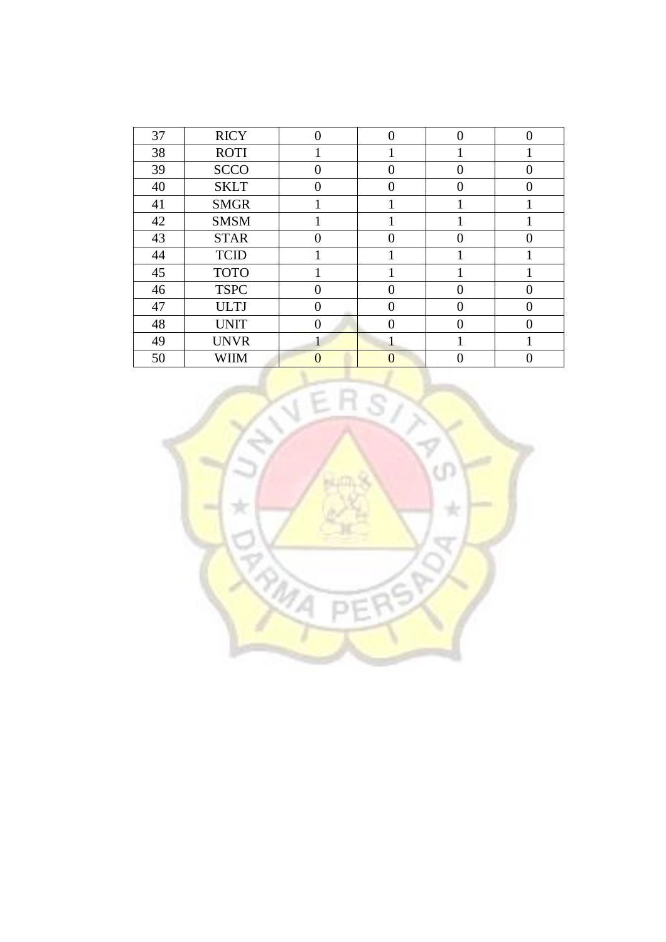| 37 | <b>RICY</b> | $\Omega$ | ∩ | $\Omega$ |  |
|----|-------------|----------|---|----------|--|
| 38 | <b>ROTI</b> |          |   |          |  |
| 39 | <b>SCCO</b> | 0        |   |          |  |
| 40 | <b>SKLT</b> | 0        |   |          |  |
| 41 | <b>SMGR</b> |          |   |          |  |
| 42 | <b>SMSM</b> |          |   |          |  |
| 43 | <b>STAR</b> |          |   |          |  |
| 44 | <b>TCID</b> |          |   |          |  |
| 45 | <b>TOTO</b> |          |   |          |  |
| 46 | <b>TSPC</b> |          |   |          |  |
| 47 | <b>ULTJ</b> | 0        | 0 | 0        |  |
| 48 | <b>UNIT</b> | 0        |   |          |  |
| 49 | <b>UNVR</b> |          |   |          |  |
| 50 | WIIM        |          |   |          |  |

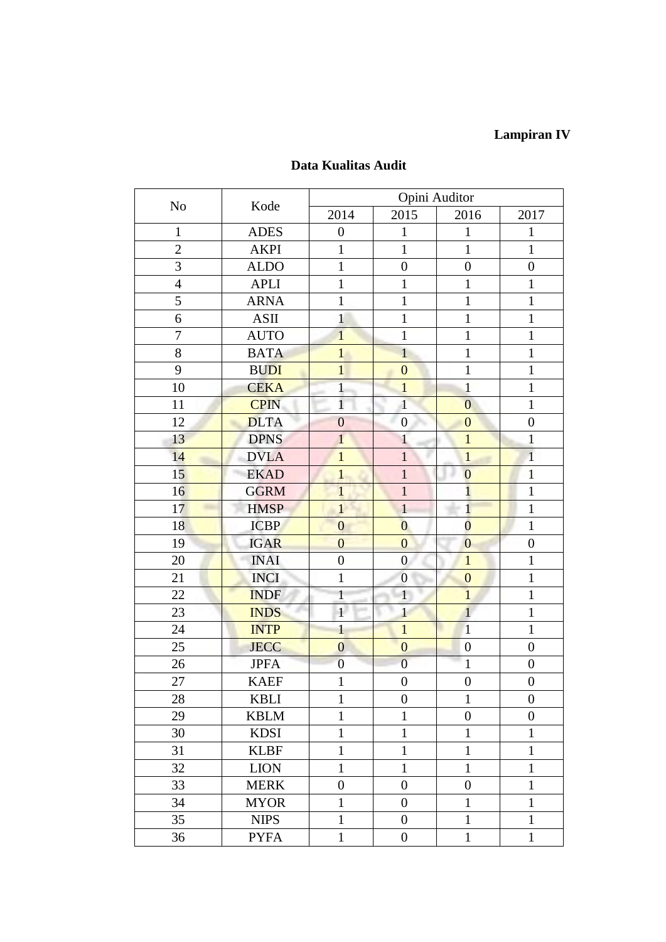## **Lampiran IV**

| N <sub>o</sub> | Kode        | Opini Auditor    |                  |                  |                  |  |  |
|----------------|-------------|------------------|------------------|------------------|------------------|--|--|
|                |             | 2014             | 2015             | 2016             | 2017             |  |  |
| $\mathbf{1}$   | <b>ADES</b> | $\boldsymbol{0}$ | $\mathbf 1$      | 1                | $\mathbf{1}$     |  |  |
| $\overline{2}$ | <b>AKPI</b> | $\mathbf{1}$     | $\mathbf{1}$     | $\mathbf{1}$     | $\mathbf{1}$     |  |  |
| 3              | <b>ALDO</b> | $\mathbf{1}$     | $\boldsymbol{0}$ | $\boldsymbol{0}$ | $\boldsymbol{0}$ |  |  |
| $\overline{4}$ | <b>APLI</b> | $\mathbf{1}$     | $\mathbf{1}$     | $\mathbf{1}$     | $\mathbf{1}$     |  |  |
| 5              | <b>ARNA</b> | $\mathbf{1}$     | $\mathbf{1}$     | $\mathbf{1}$     | $\mathbf{1}$     |  |  |
| 6              | <b>ASII</b> | $\mathbf{1}$     | $\mathbf{1}$     | $\mathbf{1}$     | $\mathbf{1}$     |  |  |
| $\sqrt{ }$     | <b>AUTO</b> | $\mathbf{1}$     | $\mathbf{1}$     | $\mathbf{1}$     | $\mathbf{1}$     |  |  |
| 8              | <b>BATA</b> | $\mathbf{1}$     | $\overline{1}$   | $\mathbf{1}$     | $\mathbf{1}$     |  |  |
| 9              | <b>BUDI</b> | $\mathbf{1}$     | $\overline{0}$   | $\mathbf{1}$     | $\mathbf{1}$     |  |  |
| 10             | <b>CEKA</b> | $\mathbf{1}$     | $\mathbf{1}$     | $\mathbf{1}$     | $\mathbf{1}$     |  |  |
| 11             | <b>CPIN</b> | $\mathbf{1}$     | $\mathbf{1}$     | $\overline{0}$   | $\mathbf{1}$     |  |  |
| 12             | <b>DLTA</b> | $\overline{0}$   | $\boldsymbol{0}$ | $\overline{0}$   | $\boldsymbol{0}$ |  |  |
| 13             | <b>DPNS</b> | $\mathbf{1}$     | $\mathbf{1}$     | $\mathbf{1}$     | $\mathbf{1}$     |  |  |
| 14             | <b>DVLA</b> | $\overline{1}$   | $\overline{1}$   | $\mathbf{1}$     | $\mathbf{1}$     |  |  |
| 15             | <b>EKAD</b> | $\mathbf{1}$     | $\mathbf{1}$     | $\overline{0}$   | $\mathbf{1}$     |  |  |
| 16             | <b>GGRM</b> | $\mathbf{1}$     | $\mathbf{1}$     | $\overline{1}$   | $\mathbf{1}$     |  |  |
| 17             | <b>HMSP</b> | $\mathbf{1}$     | $\mathbf{1}$     | $\mathbf{1}$     | $\mathbf{1}$     |  |  |
| 18             | <b>ICBP</b> | $\overline{0}$   | $\overline{0}$   | $\overline{0}$   | $\mathbf{1}$     |  |  |
| 19             | <b>IGAR</b> | $\overline{0}$   | $\overline{0}$   | $\overline{0}$   | $\boldsymbol{0}$ |  |  |
| 20             | <b>INAI</b> | $\boldsymbol{0}$ | $\boldsymbol{0}$ | $\mathbf{1}$     | $\mathbf{1}$     |  |  |
| 21             | <b>INCI</b> | $\mathbf{1}$     | $\boldsymbol{0}$ | $\mathbf{0}$     | $\mathbf{1}$     |  |  |
| 22             | <b>INDF</b> | $\mathbf{1}$     | $\mathbf{1}$     | $\overline{1}$   | $\mathbf{1}$     |  |  |
| 23             | <b>INDS</b> | $\overline{1}$   | $\mathbf{1}$     | $\mathbf{1}$     | $\mathbf{1}$     |  |  |
| 24             | <b>INTP</b> | $\mathbf{1}$     | $\mathbf{1}$     | $\overline{1}$   | $\mathbf{1}$     |  |  |
| 25             | <b>JECC</b> | $\overline{0}$   | $\mathbf{0}$     | $\boldsymbol{0}$ | $\boldsymbol{0}$ |  |  |
| 26             | <b>JPFA</b> | $\boldsymbol{0}$ | $\overline{0}$   | $\mathbf{1}$     | $\boldsymbol{0}$ |  |  |
| 27             | <b>KAEF</b> | $\mathbf{1}$     | $\boldsymbol{0}$ | $\boldsymbol{0}$ | $\boldsymbol{0}$ |  |  |
| 28             | <b>KBLI</b> | $\mathbf{1}$     | $\boldsymbol{0}$ | $\mathbf{1}$     | $\boldsymbol{0}$ |  |  |
| 29             | <b>KBLM</b> | $\mathbf{1}$     | $\mathbf{1}$     | $\boldsymbol{0}$ | $\overline{0}$   |  |  |
| 30             | <b>KDSI</b> | $\mathbf{1}$     | $\mathbf{1}$     | $\mathbf{1}$     | $\mathbf{1}$     |  |  |
| 31             | <b>KLBF</b> | $\mathbf{1}$     | $\mathbf{1}$     | $\mathbf{1}$     | $\mathbf{1}$     |  |  |
| 32             | <b>LION</b> | $\mathbf{1}$     | $\mathbf{1}$     | $\mathbf{1}$     | $\mathbf{1}$     |  |  |
| 33             | <b>MERK</b> | $\boldsymbol{0}$ | $\overline{0}$   | $\boldsymbol{0}$ | $\mathbf{1}$     |  |  |
| 34             | <b>MYOR</b> | $\mathbf{1}$     | $\overline{0}$   | $\mathbf{1}$     | $\mathbf{1}$     |  |  |
| 35             | <b>NIPS</b> | $\mathbf{1}$     | $\boldsymbol{0}$ | $\mathbf{1}$     | $\mathbf{1}$     |  |  |
| 36             | <b>PYFA</b> | $\mathbf{1}$     | $\boldsymbol{0}$ | $\mathbf{1}$     | $\mathbf{1}$     |  |  |

## **Data Kualitas Audit**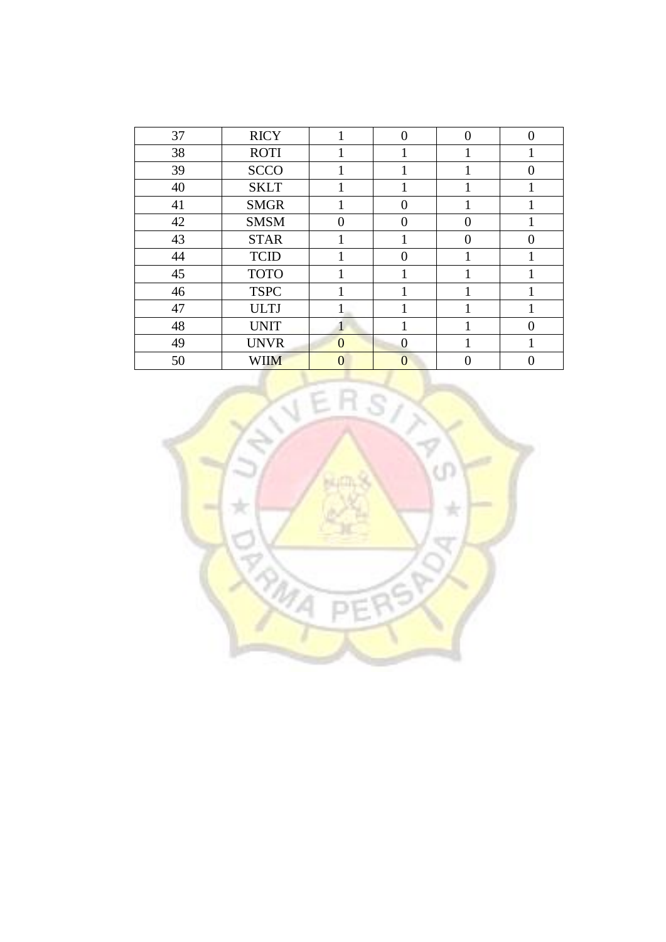| 37 | <b>RICY</b> |          | $\Omega$ | $\overline{0}$ | 0 |
|----|-------------|----------|----------|----------------|---|
| 38 | <b>ROTI</b> |          |          |                |   |
| 39 | <b>SCCO</b> |          |          |                |   |
| 40 | <b>SKLT</b> |          |          |                |   |
| 41 | <b>SMGR</b> |          | $\theta$ |                |   |
| 42 | <b>SMSM</b> | $\Omega$ | 0        | 0              |   |
| 43 | <b>STAR</b> |          |          | 0              |   |
| 44 | <b>TCID</b> |          | 0        |                |   |
| 45 | <b>TOTO</b> |          |          |                |   |
| 46 | <b>TSPC</b> |          |          |                |   |
| 47 | <b>ULTJ</b> |          |          |                |   |
| 48 | <b>UNIT</b> | 1        |          |                |   |
| 49 | <b>UNVR</b> | $\Omega$ | 0        |                |   |
| 50 | <b>WIIM</b> | 0        | 0        |                |   |

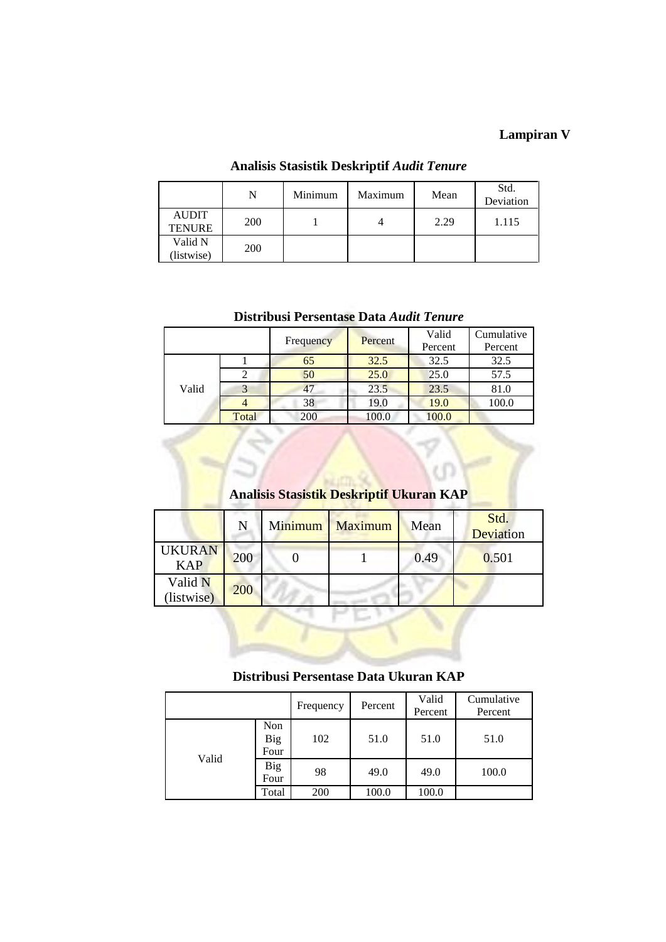## **Lampiran V**

|                               | N          | Minimum | Maximum | Mean | Std.<br>Deviation |
|-------------------------------|------------|---------|---------|------|-------------------|
| <b>AUDIT</b><br><b>TENURE</b> | <b>200</b> |         |         | 2.29 | 1.115             |
| Valid N<br>(listwise)         | 200        |         |         |      |                   |

### **Analisis Stasistik Deskriptif** *Audit Tenure*

**Distribusi Persentase Data** *Audit Tenure*

|       |       | Frequency | Percent | Valid<br>Percent | Cumulative<br>Percent |
|-------|-------|-----------|---------|------------------|-----------------------|
|       |       | 65        | 32.5    | 32.5             | 32.5                  |
|       | 2     | 50        | 25.0    | 25.0             | 57.5                  |
| Valid |       | 47        | 23.5    | 23.5             | 81.0                  |
|       |       | 38        | 19.0    | 19.0             | 100.0                 |
|       | Total | 200       | 100.0   | 100.0            |                       |

## **Analisis Stasistik Deskriptif Ukuran KAP**

|                             | N   | Minimum | <b>Maximum</b> | Mean | Std.<br>Deviation |
|-----------------------------|-----|---------|----------------|------|-------------------|
| <b>UKURAN</b><br><b>KAP</b> | 200 |         |                | 0.49 | 0.501             |
| Valid N<br>(listwise)       | 200 |         |                |      |                   |

#### **Distribusi Persentase Data Ukuran KAP**

|       |                    | Frequency | Percent | Valid<br>Percent | Cumulative<br>Percent |
|-------|--------------------|-----------|---------|------------------|-----------------------|
| Valid | Non<br>Big<br>Four | 102       | 51.0    | 51.0             | 51.0                  |
|       | Big<br>Four        | 98        | 49.0    | 49.0             | 100.0                 |
|       | Total              | 200       | 100.0   | 100.0            |                       |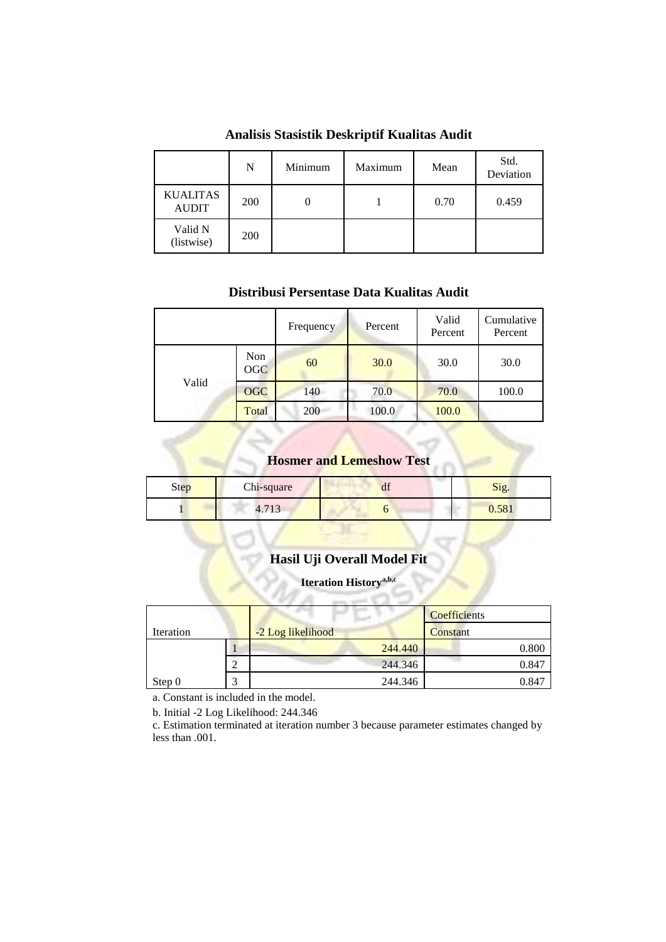|                                 | N          | Minimum | Maximum | Mean | Std.<br>Deviation |
|---------------------------------|------------|---------|---------|------|-------------------|
| <b>KUALITAS</b><br><b>AUDIT</b> | <b>200</b> |         |         | 0.70 | 0.459             |
| Valid N<br>(listwise)           | 200        |         |         |      |                   |

**Analisis Stasistik Deskriptif Kualitas Audit**

#### **Distribusi Persentase Data Kualitas Audit**

|       |                   | Frequency | Percent | Valid<br>Percent | Cumulative<br>Percent |
|-------|-------------------|-----------|---------|------------------|-----------------------|
| Valid | Non<br><b>OGC</b> | 60        | 30.0    | 30.0             | 30.0                  |
|       | <b>OGC</b>        | 140       | 70.0    | 70.0             | 100.0                 |
|       | Total             | 200       | 100.0   | 100.0            |                       |

### **Hosmer and Lemeshow Test**

| Step | Chi-square | $\sim$<br>uі | Sig.                    |  |  |
|------|------------|--------------|-------------------------|--|--|
|      | 4. L J     |              | FQ<br>0.30 <sub>1</sub> |  |  |

## **Hasil Uji Overall Model Fit**

#### **Iteration Historya,b,c**

|           |   |                   | Coefficients |
|-----------|---|-------------------|--------------|
| Iteration |   | -2 Log likelihood | Constant     |
|           |   | 244.440           | 0.800        |
|           | ↩ | 244.346           | 0.847        |
| Step 0    |   | 244.346           | 0.847        |

a. Constant is included in the model.

b. Initial -2 Log Likelihood: 244.346

c. Estimation terminated at iteration number 3 because parameter estimates changed by less than .001.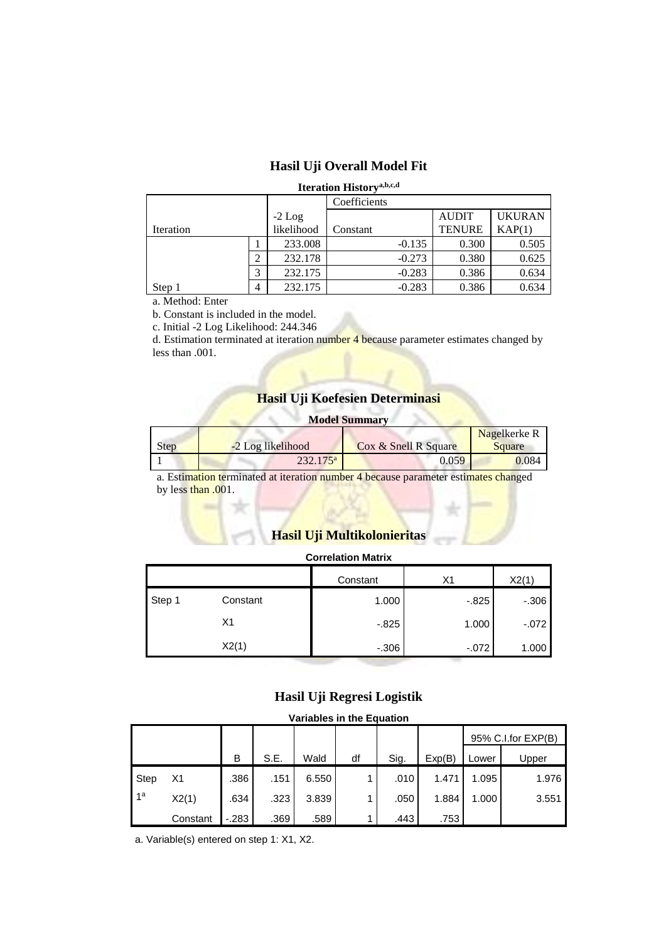### **Hasil Uji Overall Model Fit**

#### **Iteration Historya,b,c,d**

|                                       |   |            | Coefficients |               |               |
|---------------------------------------|---|------------|--------------|---------------|---------------|
|                                       |   | $-2$ Log   |              | <b>AUDIT</b>  | <b>UKURAN</b> |
| Iteration                             |   | likelihood | Constant     | <b>TENURE</b> | KAP(1)        |
|                                       |   | 233.008    | $-0.135$     | 0.300         | 0.505         |
|                                       | 2 | 232.178    | $-0.273$     | 0.380         | 0.625         |
|                                       | 3 | 232.175    | $-0.283$     | 0.386         | 0.634         |
| Step 1                                | 4 | 232.175    | $-0.283$     | 0.386         | 0.634         |
| $\sim$ $\sim$ $\sim$<br>$\sim$ $\sim$ |   |            |              |               |               |

a. Method: Enter

b. Constant is included in the model.

c. Initial -2 Log Likelihood: 244.346

d. Estimation terminated at iteration number 4 because parameter estimates changed by less than .001.

### **Hasil Uji Koefesien Determinasi**

| <b>Model Summary</b> |                   |                      |        |  |  |  |  |
|----------------------|-------------------|----------------------|--------|--|--|--|--|
| <b>Nagelkerke R</b>  |                   |                      |        |  |  |  |  |
| Step                 | -2 Log likelihood | Cox & Snell R Square | Square |  |  |  |  |
|                      | $232.175^{\rm a}$ | 0.059                | 0.084  |  |  |  |  |

a. Estimation terminated at iteration number 4 because parameter estimates changed by less than .001.

## **Hasil Uji Multikolonieritas**

#### **Correlation Matrix**

|        |          | Constant | Χ1       | X2(1)   |
|--------|----------|----------|----------|---------|
| Step 1 | Constant | 1.000    | $-0.825$ | $-.306$ |
|        | Х1       | $-0.825$ | 1.000    | $-072$  |
|        | X2(1)    | $-.306$  | $-072$   | 1.000   |

#### **Hasil Uji Regresi Logistik**

#### **Variables in the Equation**

|                 |          |        |      |       |    |      |        |       | 95% C.I.for EXP(B) |
|-----------------|----------|--------|------|-------|----|------|--------|-------|--------------------|
|                 |          | B      | S.E. | Wald  | df | Sig. | Exp(B) | Lower | Upper              |
| <b>Step</b>     | X1       | .386   | .151 | 6.550 |    | .010 | 1.471  | 1.095 | 1.976              |
| 11 <sup>a</sup> | X2(1)    | .634   | .323 | 3.839 |    | .050 | 1.884  | 1.000 | 3.551              |
|                 | Constant | $-283$ | .369 | .589  |    | .443 | .753   |       |                    |

a. Variable(s) entered on step 1: X1, X2.